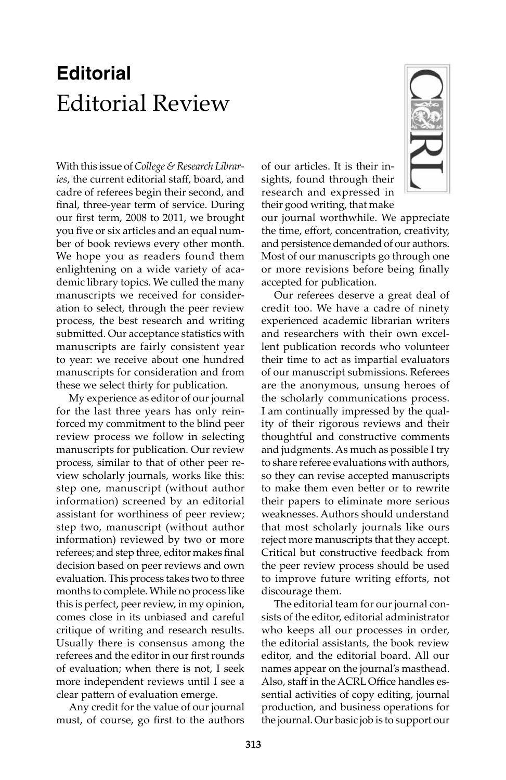## **Editorial** Editorial Review

With this issue of *College & Research Libraries*, the current editorial staff, board, and cadre of referees begin their second, and final, three-year term of service. During our first term, 2008 to 2011, we brought you five or six articles and an equal number of book reviews every other month. We hope you as readers found them enlightening on a wide variety of academic library topics. We culled the many manuscripts we received for consideration to select, through the peer review process, the best research and writing submitted. Our acceptance statistics with manuscripts are fairly consistent year to year: we receive about one hundred manuscripts for consideration and from these we select thirty for publication.

My experience as editor of our journal for the last three years has only reinforced my commitment to the blind peer review process we follow in selecting manuscripts for publication. Our review process, similar to that of other peer review scholarly journals, works like this: step one, manuscript (without author information) screened by an editorial assistant for worthiness of peer review; step two, manuscript (without author information) reviewed by two or more referees; and step three, editor makes final decision based on peer reviews and own evaluation. This process takes two to three months to complete. While no process like this is perfect, peer review, in my opinion, comes close in its unbiased and careful critique of writing and research results. Usually there is consensus among the referees and the editor in our first rounds of evaluation; when there is not, I seek more independent reviews until I see a clear pattern of evaluation emerge.

Any credit for the value of our journal must, of course, go first to the authors

of our articles. It is their insights, found through their research and expressed in their good writing, that make

our journal worthwhile. We appreciate the time, effort, concentration, creativity, and persistence demanded of our authors. Most of our manuscripts go through one or more revisions before being finally accepted for publication.

Our referees deserve a great deal of credit too. We have a cadre of ninety experienced academic librarian writers and researchers with their own excellent publication records who volunteer their time to act as impartial evaluators of our manuscript submissions. Referees are the anonymous, unsung heroes of the scholarly communications process. I am continually impressed by the quality of their rigorous reviews and their thoughtful and constructive comments and judgments. As much as possible I try to share referee evaluations with authors, so they can revise accepted manuscripts to make them even better or to rewrite their papers to eliminate more serious weaknesses. Authors should understand that most scholarly journals like ours reject more manuscripts that they accept. Critical but constructive feedback from the peer review process should be used to improve future writing efforts, not discourage them.

The editorial team for our journal consists of the editor, editorial administrator who keeps all our processes in order, the editorial assistants, the book review editor, and the editorial board. All our names appear on the journal's masthead. Also, staff in the ACRL Office handles essential activities of copy editing, journal production, and business operations for the journal. Our basic job is to support our